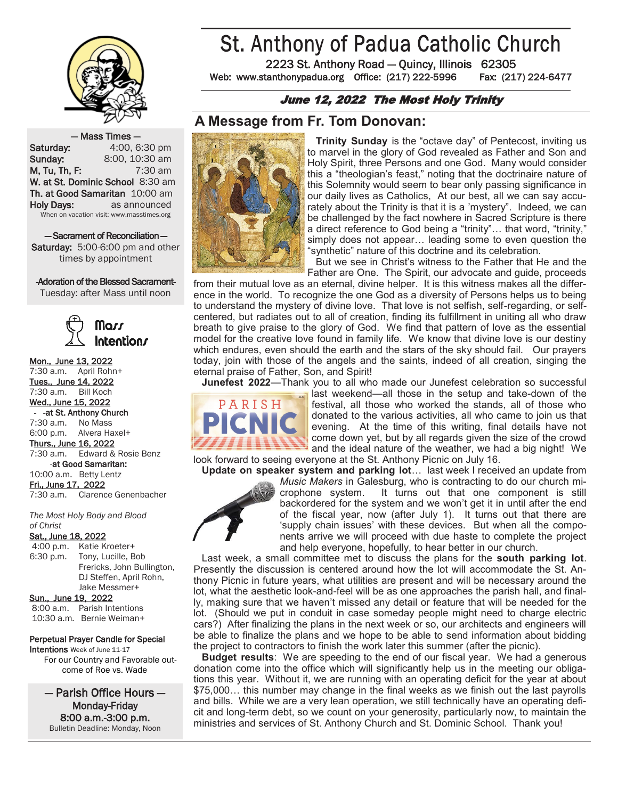

# St. Anthony of Padua Catholic Church

2223 St. Anthony Road — Quincy, Illinois 62305 Web: www.stanthonypadua.org Office: (217) 222-5996 Fax: (217) 224-6477

#### June 12, 2022 The Most Holy Trinity

## **A Message from Fr. Tom Donovan:**

— Mass Times — **Saturday:** 4:00, 6:30 pm **Sunday:** 8:00, 10:30 am **M. Tu, Th, F:** 7:30 am W. at St. Dominic School 8:30 am Th. at Good Samaritan 10:00 am Holy Days: as announced When on vacation visit: www.masstimes.org

— Sacrament of Reconciliation — Saturday: 5:00-6:00 pm and other times by appointment

#### -Adoration of the Blessed Sacrament-

Tuesday: after Mass until noon



#### Mon., June 13, 2022

7:30 a.m. April Rohn+ Tues., June 14, 2022 7:30 a.m. Bill Koch Wed., June 15, 2022 -at St. Anthony Church 7:30 a.m. No Mass 6:00 p.m. Alvera Haxel+ Thurs., June 16, 2022 7:30 a.m. Edward & Rosie Benz -at Good Samaritan: 10:00 a.m. Betty Lentz Fri., June 17, 2022 7:30 a.m. Clarence Genenbacher

*The Most Holy Body and Blood of Christ*

#### Sat., June 18, 2022

4:00 p.m. Katie Kroeter+ 6:30 p.m. Tony, Lucille, Bob Frericks, John Bullington, DJ Steffen, April Rohn, Jake Messmer+

Sun., June 19, 2022

8:00 a.m. Parish Intentions 10:30 a.m. Bernie Weiman+

#### Perpetual Prayer Candle for Special

Intentions Week of June 11-17 For our Country and Favorable outcome of Roe vs. Wade

— Parish Office Hours — Monday-Friday 8:00 a.m.-3:00 p.m. Bulletin Deadline: Monday, Noon



 **Trinity Sunday** is the "octave day" of Pentecost, inviting us to marvel in the glory of God revealed as Father and Son and Holy Spirit, three Persons and one God. Many would consider this a "theologian's feast," noting that the doctrinaire nature of this Solemnity would seem to bear only passing significance in our daily lives as Catholics, At our best, all we can say accurately about the Trinity is that it is a 'mystery". Indeed, we can be challenged by the fact nowhere in Sacred Scripture is there a direct reference to God being a "trinity"… that word, "trinity," simply does not appear… leading some to even question the "synthetic" nature of this doctrine and its celebration.

 But we see in Christ's witness to the Father that He and the Father are One. The Spirit, our advocate and guide, proceeds

from their mutual love as an eternal, divine helper. It is this witness makes all the difference in the world. To recognize the one God as a diversity of Persons helps us to being to understand the mystery of divine love. That love is not selfish, self-regarding, or selfcentered, but radiates out to all of creation, finding its fulfillment in uniting all who draw breath to give praise to the glory of God. We find that pattern of love as the essential model for the creative love found in family life. We know that divine love is our destiny which endures, even should the earth and the stars of the sky should fail. Our prayers today, join with those of the angels and the saints, indeed of all creation, singing the eternal praise of Father, Son, and Spirit!

**Junefest 2022**—Thank you to all who made our Junefest celebration so successful



last weekend—all those in the setup and take-down of the festival, all those who worked the stands, all of those who donated to the various activities, all who came to join us that evening. At the time of this writing, final details have not come down yet, but by all regards given the size of the crowd and the ideal nature of the weather, we had a big night! We

look forward to seeing everyone at the St. Anthony Picnic on July 16. **Update on speaker system and parking lot**… last week I received an update from



*Music Makers* in Galesburg, who is contracting to do our church microphone system. It turns out that one component is still backordered for the system and we won't get it in until after the end of the fiscal year, now (after July 1). It turns out that there are 'supply chain issues' with these devices. But when all the components arrive we will proceed with due haste to complete the project and help everyone, hopefully, to hear better in our church.

 Last week, a small committee met to discuss the plans for the **south parking lot**. Presently the discussion is centered around how the lot will accommodate the St. Anthony Picnic in future years, what utilities are present and will be necessary around the lot, what the aesthetic look-and-feel will be as one approaches the parish hall, and finally, making sure that we haven't missed any detail or feature that will be needed for the lot. (Should we put in conduit in case someday people might need to charge electric cars?) After finalizing the plans in the next week or so, our architects and engineers will be able to finalize the plans and we hope to be able to send information about bidding the project to contractors to finish the work later this summer (after the picnic).

 **Budget results**: We are speeding to the end of our fiscal year. We had a generous donation come into the office which will significantly help us in the meeting our obligations this year. Without it, we are running with an operating deficit for the year at about \$75,000… this number may change in the final weeks as we finish out the last payrolls and bills. While we are a very lean operation, we still technically have an operating deficit and long-term debt, so we count on your generosity, particularly now, to maintain the ministries and services of St. Anthony Church and St. Dominic School. Thank you!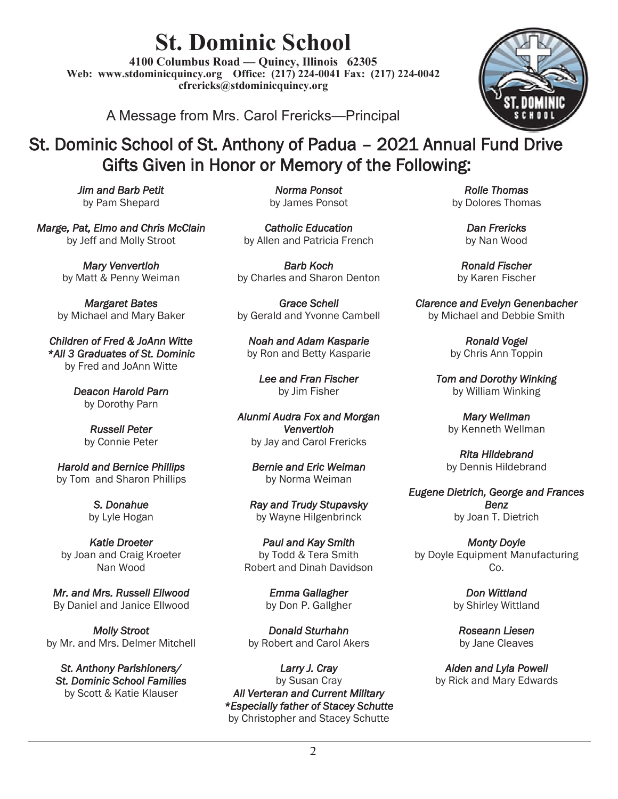# **St. Dominic School**

**4100 Columbus Road — Quincy, Illinois 62305 Web: www.stdominicquincy.org Office: (217) 224-0041 Fax: (217) 224-0042 cfrericks@stdominicquincy.org**

A Message from Mrs. Carol Frericks—Principal



# St. Dominic School of St. Anthony of Padua – 2021 Annual Fund Drive Gifts Given in Honor or Memory of the Following:

*Jim and Barb Petit*  by Pam Shepard

*Marge, Pat, Elmo and Chris McClain*  by Jeff and Molly Stroot

> *Mary Venvertloh*  by Matt & Penny Weiman

*Margaret Bates*  by Michael and Mary Baker

*Children of Fred & JoAnn Witte \*All 3 Graduates of St. Dominic*  by Fred and JoAnn Witte

> *Deacon Harold Parn*  by Dorothy Parn

> > *Russell Peter*  by Connie Peter

*Harold and Bernice Phillips*  by Tom and Sharon Phillips

> *S. Donahue*  by Lyle Hogan

*Katie Droeter*  by Joan and Craig Kroeter Nan Wood

*Mr. and Mrs. Russell Ellwood*  By Daniel and Janice Ellwood

*Molly Stroot*  by Mr. and Mrs. Delmer Mitchell

*St. Anthony Parishioners/ St. Dominic School Families*  by Scott & Katie Klauser

*Norma Ponsot*  by James Ponsot

*Catholic Education*  by Allen and Patricia French

*Barb Koch* by Charles and Sharon Denton

*Grace Schell*  by Gerald and Yvonne Cambell

*Noah and Adam Kasparie*  by Ron and Betty Kasparie

*Lee and Fran Fischer*  by Jim Fisher

*Alunmi Audra Fox and Morgan Venvertloh*  by Jay and Carol Frericks

*Bernie and Eric Weiman*  by Norma Weiman

*Ray and Trudy Stupavsky*  by Wayne Hilgenbrinck

*Paul and Kay Smith*  by Todd & Tera Smith Robert and Dinah Davidson

> *Emma Gallagher*  by Don P. Gallgher

*Donald Sturhahn*  by Robert and Carol Akers

*Larry J. Cray*  by Susan Cray *All Verteran and Current Military \*Especially father of Stacey Schutte*  by Christopher and Stacey Schutte

*Rolle Thomas*  by Dolores Thomas

> *Dan Frericks*  by Nan Wood

*Ronald Fischer*  by Karen Fischer

*Clarence and Evelyn Genenbacher*  by Michael and Debbie Smith

> *Ronald Vogel*  by Chris Ann Toppin

*Tom and Dorothy Winking*  by William Winking

*Mary Wellman*  by Kenneth Wellman

*Rita Hildebrand*  by Dennis Hildebrand

*Eugene Dietrich, George and Frances Benz*  by Joan T. Dietrich

*Monty Doyle*  by Doyle Equipment Manufacturing Co.

> *Don Wittland*  by Shirley Wittland

*Roseann Liesen*  by Jane Cleaves

*Aiden and Lyla Powell*  by Rick and Mary Edwards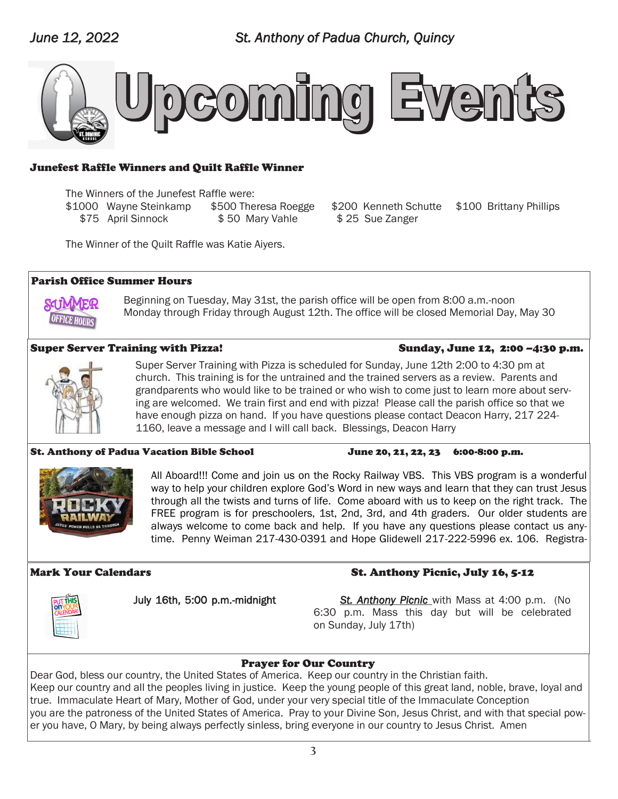

#### Junefest Raffle Winners and Quilt Raffle Winner

The Winners of the Junefest Raffle were:

\$1000 Wayne Steinkamp \$500 Theresa Roegge \$200 Kenneth Schutte \$100 Brittany Phillips \$75 April Sinnock \$50 Mary Vahle \$25 Sue Zanger

The Winner of the Quilt Raffle was Katie Aiyers.

#### Parish Office Summer Hours

Beginning on Tuesday, May 31st, the parish office will be open from 8:00 a.m.-noon Monday through Friday through August 12th. The office will be closed Memorial Day, May 30

#### Super Server Training with Pizza! Sunday, June 12, 2:00 –4:30 p.m.

Super Server Training with Pizza is scheduled for Sunday, June 12th 2:00 to 4:30 pm at church. This training is for the untrained and the trained servers as a review. Parents and grandparents who would like to be trained or who wish to come just to learn more about serving are welcomed. We train first and end with pizza! Please call the parish office so that we have enough pizza on hand. If you have questions please contact Deacon Harry, 217 224- 1160, leave a message and I will call back. Blessings, Deacon Harry

#### St. Anthony of Padua Vacation Bible School June 20, 21, 22, 23 6:00-8:00 p.m.



All Aboard!!! Come and join us on the Rocky Railway VBS. This VBS program is a wonderful way to help your children explore God's Word in new ways and learn that they can trust Jesus through all the twists and turns of life. Come aboard with us to keep on the right track. The FREE program is for preschoolers, 1st, 2nd, 3rd, and 4th graders. Our older students are always welcome to come back and help. If you have any questions please contact us anytime. Penny Weiman 217-430-0391 and Hope Glidewell 217-222-5996 ex. 106. Registra-

## Mark Your Calendars St. Anthony Picnic, July 16, 5-12

July 16th, 5:00 p.m.-midnight *St. Anthony Picnic* with Mass at 4:00 p.m. (No 6:30 p.m. Mass this day but will be celebrated on Sunday, July 17th)

### Prayer for Our Country

Dear God, bless our country, the United States of America. Keep our country in the Christian faith. Keep our country and all the peoples living in justice. Keep the young people of this great land, noble, brave, loyal and true. Immaculate Heart of Mary, Mother of God, under your very special title of the Immaculate Conception you are the patroness of the United States of America. Pray to your Divine Son, Jesus Christ, and with that special power you have, O Mary, by being always perfectly sinless, bring everyone in our country to Jesus Christ. Amen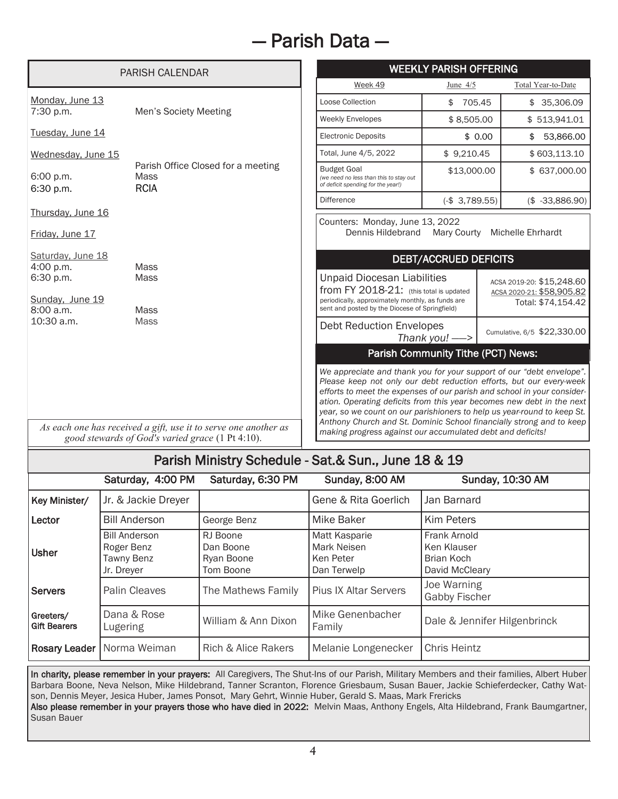# — Parish Data —

| <b>PARISH CALENDAR</b>               |                                                                                                                     | <b>WEEKLY PARISH OFFERING</b>                                                                                                                                                                                                                                                                                                                                                                                                                                                                                    |                |                           |                                                 |  |
|--------------------------------------|---------------------------------------------------------------------------------------------------------------------|------------------------------------------------------------------------------------------------------------------------------------------------------------------------------------------------------------------------------------------------------------------------------------------------------------------------------------------------------------------------------------------------------------------------------------------------------------------------------------------------------------------|----------------|---------------------------|-------------------------------------------------|--|
|                                      |                                                                                                                     | Week 49                                                                                                                                                                                                                                                                                                                                                                                                                                                                                                          | June $4/5$     |                           | Total Year-to-Date                              |  |
| Monday, June 13                      | Men's Society Meeting                                                                                               | Loose Collection                                                                                                                                                                                                                                                                                                                                                                                                                                                                                                 | \$ 705.45      |                           | \$35,306.09                                     |  |
| 7:30 p.m.                            |                                                                                                                     | <b>Weekly Envelopes</b>                                                                                                                                                                                                                                                                                                                                                                                                                                                                                          | \$8,505.00     |                           | \$513,941.01                                    |  |
| Tuesday, June 14                     |                                                                                                                     | <b>Electronic Deposits</b>                                                                                                                                                                                                                                                                                                                                                                                                                                                                                       |                | \$0.00                    | 53,866.00<br>\$                                 |  |
| Wednesday, June 15                   |                                                                                                                     | Total, June 4/5, 2022                                                                                                                                                                                                                                                                                                                                                                                                                                                                                            | \$9,210.45     |                           | \$603,113.10                                    |  |
| 6:00 p.m.<br>6:30 p.m.               | Parish Office Closed for a meeting<br>Mass<br><b>RCIA</b>                                                           | <b>Budget Goal</b><br>(we need no less than this to stay out<br>of deficit spending for the year!)                                                                                                                                                                                                                                                                                                                                                                                                               | \$13,000.00    |                           | \$ 637,000.00                                   |  |
|                                      |                                                                                                                     | <b>Difference</b>                                                                                                                                                                                                                                                                                                                                                                                                                                                                                                | $(-$3,789.55)$ |                           | $($-33,886.90)$                                 |  |
| Thursday, June 16<br>Friday, June 17 |                                                                                                                     | Counters: Monday, June 13, 2022<br>Dennis Hildebrand                                                                                                                                                                                                                                                                                                                                                                                                                                                             | Mary Courty    |                           | Michelle Ehrhardt                               |  |
| Saturday, June 18<br>4:00 p.m.       | Mass                                                                                                                | <b>DEBT/ACCRUED DEFICITS</b>                                                                                                                                                                                                                                                                                                                                                                                                                                                                                     |                |                           |                                                 |  |
| 6:30 p.m.                            | <b>Mass</b>                                                                                                         | <b>Unpaid Diocesan Liabilities</b>                                                                                                                                                                                                                                                                                                                                                                                                                                                                               |                | ACSA 2019-20: \$15,248.60 |                                                 |  |
| Sunday, June 19<br>8:00a.m.          | Mass                                                                                                                | from FY 2018-21: (this total is updated<br>periodically, approximately monthly, as funds are<br>sent and posted by the Diocese of Springfield)                                                                                                                                                                                                                                                                                                                                                                   |                |                           | ACSA 2020-21: \$58,905.82<br>Total: \$74,154.42 |  |
| 10:30 a.m.                           | Mass                                                                                                                | <b>Debt Reduction Envelopes</b><br>Thank you! $\implies$                                                                                                                                                                                                                                                                                                                                                                                                                                                         |                |                           | Cumulative, 6/5 \$22,330.00                     |  |
|                                      |                                                                                                                     | Parish Community Tithe (PCT) News:                                                                                                                                                                                                                                                                                                                                                                                                                                                                               |                |                           |                                                 |  |
|                                      | As each one has received a gift, use it to serve one another as<br>good stewards of God's varied grace (1 Pt 4:10). | We appreciate and thank you for your support of our "debt envelope".<br>Please keep not only our debt reduction efforts, but our every-week<br>efforts to meet the expenses of our parish and school in your consider-<br>ation. Operating deficits from this year becomes new debt in the next<br>year, so we count on our parishioners to help us year-round to keep St.<br>Anthony Church and St. Dominic School financially strong and to keep<br>making progress against our accumulated debt and deficits! |                |                           |                                                 |  |

## Parish Ministry Schedule - Sat.& Sun., June 18 & 19

|                                  | Saturday, 4:00 PM                                                     | Saturday, 6:30 PM                                | Sunday, 8:00 AM                                                        | Sunday, 10:30 AM                                            |
|----------------------------------|-----------------------------------------------------------------------|--------------------------------------------------|------------------------------------------------------------------------|-------------------------------------------------------------|
| Key Minister/                    | Jr. & Jackie Dreyer                                                   |                                                  | Gene & Rita Goerlich                                                   | Jan Barnard                                                 |
| Lector                           | <b>Bill Anderson</b>                                                  | George Benz                                      | <b>Mike Baker</b>                                                      | <b>Kim Peters</b>                                           |
| <b>Usher</b>                     | <b>Bill Anderson</b><br>Roger Benz<br><b>Tawny Benz</b><br>Jr. Dreyer | RJ Boone<br>Dan Boone<br>Ryan Boone<br>Tom Boone | <b>Matt Kasparie</b><br><b>Mark Neisen</b><br>Ken Peter<br>Dan Terwelp | Frank Arnold<br>Ken Klauser<br>Brian Koch<br>David McCleary |
| Servers                          | <b>Palin Cleaves</b>                                                  | The Mathews Family                               | <b>Pius IX Altar Servers</b>                                           | Joe Warning<br><b>Gabby Fischer</b>                         |
| Greeters/<br><b>Gift Bearers</b> | Dana & Rose<br><b>Lugering</b>                                        | William & Ann Dixon                              | Mike Genenbacher<br>Family                                             | Dale & Jennifer Hilgenbrinck                                |
|                                  | <b>Rosary Leader</b>   Norma Weiman                                   | Rich & Alice Rakers                              | Melanie Longenecker                                                    | <b>Chris Heintz</b>                                         |

In charity, please remember in your prayers: All Caregivers, The Shut-Ins of our Parish, Military Members and their families, Albert Huber Barbara Boone, Neva Nelson, Mike Hildebrand, Tanner Scranton, Florence Griesbaum, Susan Bauer, Jackie Schieferdecker, Cathy Watson, Dennis Meyer, Jesica Huber, James Ponsot, Mary Gehrt, Winnie Huber, Gerald S. Maas, Mark Frericks

Also please remember in your prayers those who have died in 2022: Melvin Maas, Anthony Engels, Alta Hildebrand, Frank Baumgartner, Susan Bauer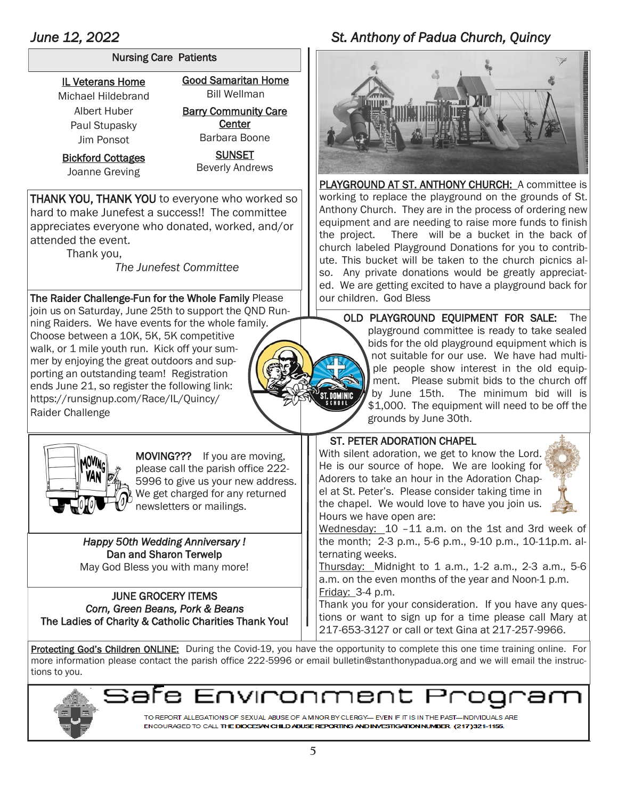#### Nursing Care Patients

IL Veterans Home Michael Hildebrand Albert Huber Paul Stupasky Jim Ponsot

Bickford Cottages Joanne Greving

Good Samaritan Home Bill Wellman

**Barry Community Care Center** Barbara Boone

> **SUNSET** Beverly Andrews

THANK YOU, THANK YOU to everyone who worked so hard to make Junefest a success!! The committee appreciates everyone who donated, worked, and/or attended the event.

Thank you,

 *The Junefest Committee*

The Raider Challenge-Fun for the Whole Family Please  $\|\cdot\|$  our children. God Bless join us on Saturday, June 25th to support the QND Running Raiders. We have events for the whole family. Choose between a 10K, 5K, 5K competitive walk, or 1 mile youth run. Kick off your summer by enjoying the great outdoors and supporting an outstanding team! Registration ends June 21, so register the following link: https://runsignup.com/Race/IL/Quincy/ Raider Challenge



MOVING??? If you are moving, please call the parish office 222- 5996 to give us your new address. We get charged for any returned newsletters or mailings.

#### *Happy 50th Wedding Anniversary !*  Dan and Sharon Terwelp May God Bless you with many more!

JUNE GROCERY ITEMS *Corn, Green Beans, Pork & Beans*  The Ladies of Charity & Catholic Charities Thank You!

## *June 12, 2022 St. Anthony of Padua Church, Quincy*



PLAYGROUND AT ST. ANTHONY CHURCH: A committee is working to replace the playground on the grounds of St. Anthony Church. They are in the process of ordering new equipment and are needing to raise more funds to finish the project. There will be a bucket in the back of church labeled Playground Donations for you to contribute. This bucket will be taken to the church picnics also. Any private donations would be greatly appreciated. We are getting excited to have a playground back for

OLD PLAYGROUND EQUIPMENT FOR SALE: The playground committee is ready to take sealed bids for the old playground equipment which is not suitable for our use. We have had multiple people show interest in the old equipment. Please submit bids to the church off by June 15th. The minimum bid will is \$1,000. The equipment will need to be off the grounds by June 30th.

### ST. PETER ADORATION CHAPEL

With silent adoration, we get to know the Lord. He is our source of hope. We are looking for Adorers to take an hour in the Adoration Chapel at St. Peter's. Please consider taking time in the chapel. We would love to have you join us. Hours we have open are:



Wednesday: 10 –11 a.m. on the 1st and 3rd week of the month; 2-3 p.m., 5-6 p.m., 9-10 p.m., 10-11p.m. alternating weeks.

Thursday: Midnight to 1 a.m., 1-2 a.m., 2-3 a.m., 5-6 a.m. on the even months of the year and Noon-1 p.m. Friday: 3-4 p.m.

Thank you for your consideration. If you have any questions or want to sign up for a time please call Mary at 217-653-3127 or call or text Gina at 217-257-9966.

Protecting God's Children ONLINE: During the Covid-19, you have the opportunity to complete this one time training online. For more information please contact the parish office 222-5996 or email bulletin@stanthonypadua.org and we will email the instructions to you.



חעו זרום׳ Эr

TO REPORT ALLEGATIONS OF SEXUAL ABUSE OF A MINOR BY CLERGY— EVEN IF IT IS IN THE PAST—INDIVIDUALS ARE ENCOURAGED TO CALL THE DIOCESAN CHILD ABUSE REPORTING AND INVESTIGATION NUMBER (217)321-1155.